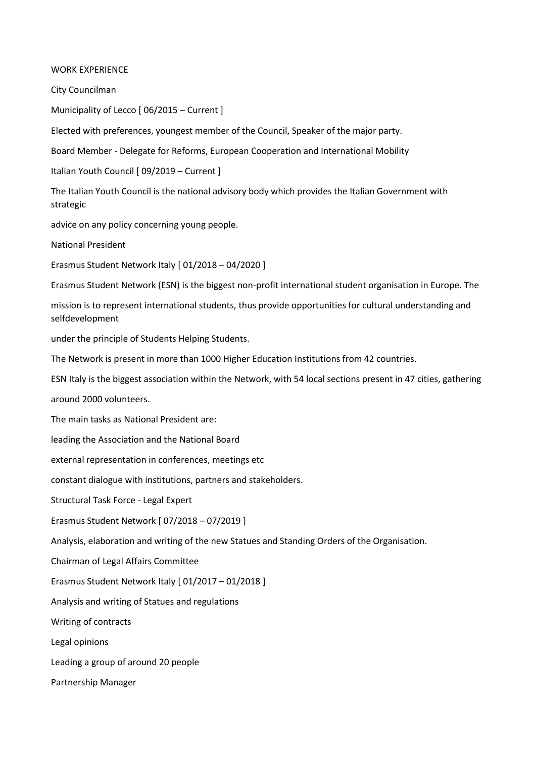## WORK EXPERIENCE

City Councilman

Municipality of Lecco [ 06/2015 – Current ]

Elected with preferences, youngest member of the Council, Speaker of the major party.

Board Member - Delegate for Reforms, European Cooperation and International Mobility

Italian Youth Council [ 09/2019 – Current ]

The Italian Youth Council is the national advisory body which provides the Italian Government with strategic

advice on any policy concerning young people.

National President

Erasmus Student Network Italy [ 01/2018 – 04/2020 ]

Erasmus Student Network (ESN) is the biggest non-profit international student organisation in Europe. The

mission is to represent international students, thus provide opportunities for cultural understanding and selfdevelopment

under the principle of Students Helping Students.

The Network is present in more than 1000 Higher Education Institutions from 42 countries.

ESN Italy is the biggest association within the Network, with 54 local sections present in 47 cities, gathering

around 2000 volunteers.

The main tasks as National President are:

leading the Association and the National Board

external representation in conferences, meetings etc

constant dialogue with institutions, partners and stakeholders.

Structural Task Force - Legal Expert

Erasmus Student Network [ 07/2018 – 07/2019 ]

Analysis, elaboration and writing of the new Statues and Standing Orders of the Organisation.

Chairman of Legal Affairs Committee

Erasmus Student Network Italy [ 01/2017 – 01/2018 ]

Analysis and writing of Statues and regulations

Writing of contracts

Legal opinions

Leading a group of around 20 people

Partnership Manager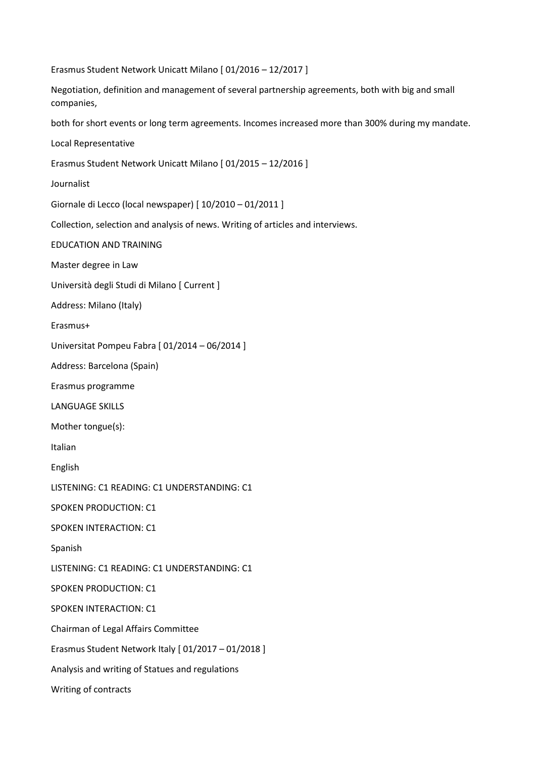Erasmus Student Network Unicatt Milano [ 01/2016 – 12/2017 ]

Negotiation, definition and management of several partnership agreements, both with big and small companies,

both for short events or long term agreements. Incomes increased more than 300% during my mandate.

Local Representative

Erasmus Student Network Unicatt Milano [ 01/2015 – 12/2016 ]

Journalist

Giornale di Lecco (local newspaper) [ 10/2010 – 01/2011 ]

Collection, selection and analysis of news. Writing of articles and interviews.

EDUCATION AND TRAINING

Master degree in Law

Università degli Studi di Milano [ Current ]

Address: Milano (Italy)

Erasmus+

Universitat Pompeu Fabra [ 01/2014 – 06/2014 ]

Address: Barcelona (Spain)

Erasmus programme

LANGUAGE SKILLS

Mother tongue(s):

Italian

English

LISTENING: C1 READING: C1 UNDERSTANDING: C1

SPOKEN PRODUCTION: C1

SPOKEN INTERACTION: C1

Spanish

LISTENING: C1 READING: C1 UNDERSTANDING: C1

SPOKEN PRODUCTION: C1

SPOKEN INTERACTION: C1

Chairman of Legal Affairs Committee

Erasmus Student Network Italy [ 01/2017 – 01/2018 ]

Analysis and writing of Statues and regulations

Writing of contracts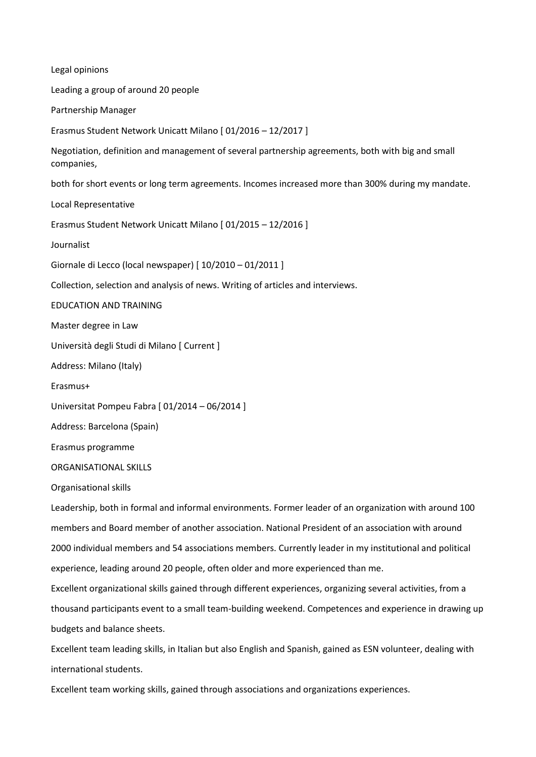Legal opinions Leading a group of around 20 people Partnership Manager Erasmus Student Network Unicatt Milano [ 01/2016 – 12/2017 ] Negotiation, definition and management of several partnership agreements, both with big and small companies, both for short events or long term agreements. Incomes increased more than 300% during my mandate. Local Representative Erasmus Student Network Unicatt Milano [ 01/2015 – 12/2016 ] Journalist Giornale di Lecco (local newspaper) [ 10/2010 – 01/2011 ] Collection, selection and analysis of news. Writing of articles and interviews. EDUCATION AND TRAINING Master degree in Law Università degli Studi di Milano [ Current ] Address: Milano (Italy) Erasmus+ Universitat Pompeu Fabra [ 01/2014 – 06/2014 ] Address: Barcelona (Spain) Erasmus programme ORGANISATIONAL SKILLS Organisational skills Leadership, both in formal and informal environments. Former leader of an organization with around 100 members and Board member of another association. National President of an association with around 2000 individual members and 54 associations members. Currently leader in my institutional and political experience, leading around 20 people, often older and more experienced than me. Excellent organizational skills gained through different experiences, organizing several activities, from a thousand participants event to a small team-building weekend. Competences and experience in drawing up budgets and balance sheets. Excellent team leading skills, in Italian but also English and Spanish, gained as ESN volunteer, dealing with international students.

Excellent team working skills, gained through associations and organizations experiences.